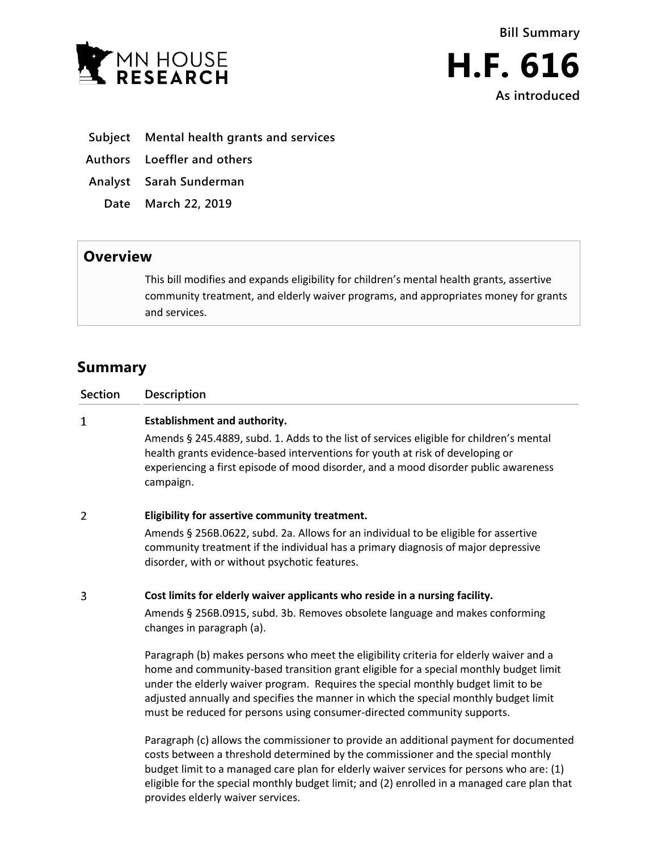



- **Subject Mental health grants and services**
- **Authors Loeffler and others**
- **Analyst Sarah Sunderman**
- **Date March 22, 2019**

## **Overview**

This bill modifies and expands eligibility for children's mental health grants, assertive community treatment, and elderly waiver programs, and appropriates money for grants and services.

# **Summary**

| <b>Section</b> | Description                                                                                                                                                                                                                                                                                                                                                                                                                             |
|----------------|-----------------------------------------------------------------------------------------------------------------------------------------------------------------------------------------------------------------------------------------------------------------------------------------------------------------------------------------------------------------------------------------------------------------------------------------|
| $\mathbf{1}$   | <b>Establishment and authority.</b>                                                                                                                                                                                                                                                                                                                                                                                                     |
|                | Amends § 245.4889, subd. 1. Adds to the list of services eligible for children's mental<br>health grants evidence-based interventions for youth at risk of developing or<br>experiencing a first episode of mood disorder, and a mood disorder public awareness<br>campaign.                                                                                                                                                            |
| 2              | Eligibility for assertive community treatment.                                                                                                                                                                                                                                                                                                                                                                                          |
|                | Amends § 256B.0622, subd. 2a. Allows for an individual to be eligible for assertive<br>community treatment if the individual has a primary diagnosis of major depressive<br>disorder, with or without psychotic features.                                                                                                                                                                                                               |
| 3              | Cost limits for elderly waiver applicants who reside in a nursing facility.                                                                                                                                                                                                                                                                                                                                                             |
|                | Amends § 256B.0915, subd. 3b. Removes obsolete language and makes conforming<br>changes in paragraph (a).                                                                                                                                                                                                                                                                                                                               |
|                | Paragraph (b) makes persons who meet the eligibility criteria for elderly waiver and a<br>home and community-based transition grant eligible for a special monthly budget limit<br>under the elderly waiver program. Requires the special monthly budget limit to be<br>adjusted annually and specifies the manner in which the special monthly budget limit<br>must be reduced for persons using consumer-directed community supports. |
|                | Paragraph (c) allows the commissioner to provide an additional payment for documented<br>costs between a threshold determined by the commissioner and the special monthly<br>budget limit to a managed care plan for elderly waiver services for persons who are: (1)                                                                                                                                                                   |

budget limit to a managed care plan for elderly waiver services for persons who are: (1) eligible for the special monthly budget limit; and (2) enrolled in a managed care plan that provides elderly waiver services.